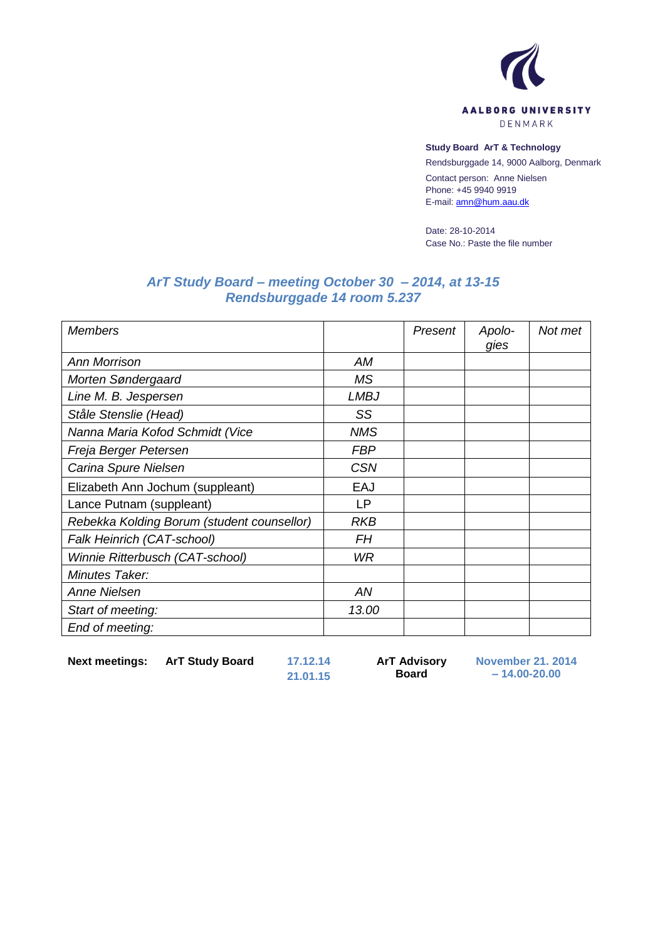

## **Study Board ArT & Technology**

Rendsburggade 14, 9000 Aalborg, Denmark

Contact person: Anne Nielsen Phone: +45 9940 9919 E-mail[: amn@hum.aau.dk](mailto:amn@hum.aau.dk)

Date: 28-10-2014 Case No.: Paste the file number

## *ArT Study Board – meeting October 30 – 2014, at 13-15 Rendsburggade 14 room 5.237*

| <b>Members</b>                             |             | Present | Apolo-<br>gies | Not met |
|--------------------------------------------|-------------|---------|----------------|---------|
| <b>Ann Morrison</b>                        | AM          |         |                |         |
| Morten Søndergaard                         | <b>MS</b>   |         |                |         |
| Line M. B. Jespersen                       | <b>LMBJ</b> |         |                |         |
| Ståle Stenslie (Head)                      | SS          |         |                |         |
| Nanna Maria Kofod Schmidt (Vice            | <b>NMS</b>  |         |                |         |
| Freja Berger Petersen                      | <b>FBP</b>  |         |                |         |
| Carina Spure Nielsen                       | <b>CSN</b>  |         |                |         |
| Elizabeth Ann Jochum (suppleant)           | EAJ         |         |                |         |
| Lance Putnam (suppleant)                   | LP          |         |                |         |
| Rebekka Kolding Borum (student counsellor) | <b>RKB</b>  |         |                |         |
| Falk Heinrich (CAT-school)                 | FΗ          |         |                |         |
| Winnie Ritterbusch (CAT-school)            | WR          |         |                |         |
| Minutes Taker:                             |             |         |                |         |
| Anne Nielsen                               | AN          |         |                |         |
| Start of meeting:                          | 13.00       |         |                |         |
| End of meeting:                            |             |         |                |         |

**Next meetings: ArT Study Board 17.12.14**

**21.01.15**

**ArT Advisory Board**

**November 21. 2014 – 14.00-20.00**